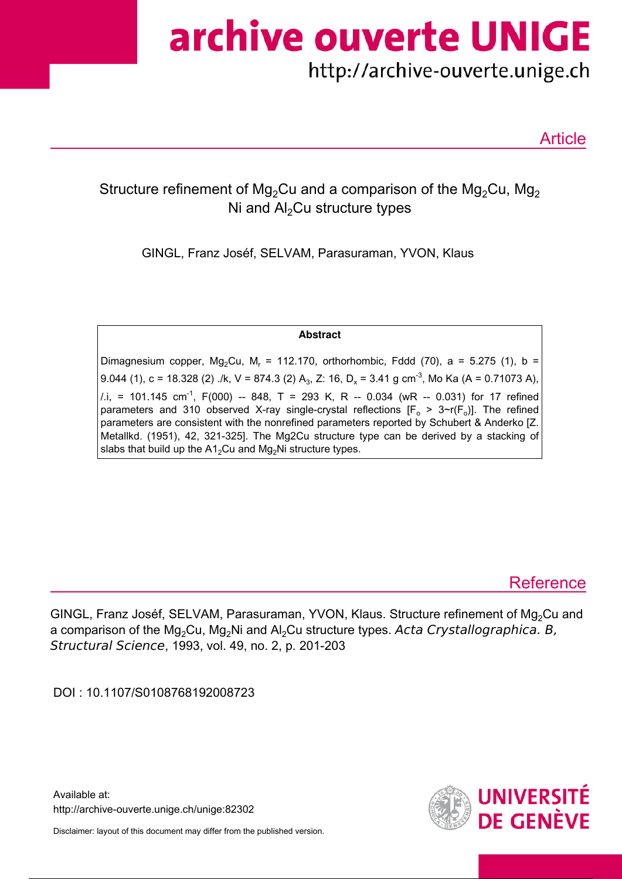archive ouverte UNIGE

# http://archive-ouverte.unige.ch

Article

## Structure refinement of Mg<sub>2</sub>Cu and a comparison of the Mg<sub>2</sub>Cu, Mg<sub>2</sub> Ni and  $Al<sub>2</sub>Cu$  structure types

GINGL, Franz Joséf, SELVAM, Parasuraman, YVON, Klaus

**Abstract**

Dimagnesium copper, Mg<sub>2</sub>Cu, M<sub>r</sub> = 112.170, orthorhombic, Fddd (70), a = 5.275 (1), b = 9.044 (1), c = 18.328 (2) ./k, V = 874.3 (2) A<sub>3</sub>, Z: 16, D<sub>x</sub> = 3.41 g cm<sup>-3</sup>, Mo Ka (A = 0.71073 A),  $1.1$ , = 101.145 cm<sup>-1</sup>, F(000) -- 848, T = 293 K, R -- 0.034 (wR -- 0.031) for 17 refined parameters and 310 observed X-ray single-crystal reflections  $[F_0 > 3-r(F_0)]$ . The refined parameters are consistent with the nonrefined parameters reported by Schubert & Anderko [Z. Metallkd. (1951), 42, 321-325]. The Mg2Cu structure type can be derived by a stacking of slabs that build up the  $A1_2Cu$  and Mg<sub>2</sub>Ni structure types.

## **Reference**

GINGL, Franz Joséf, SELVAM, Parasuraman, YVON, Klaus. Structure refinement of Mg<sub>2</sub>Cu and a comparison of the  $Mg_2Cu$ ,  $Mg_2Ni$  and  $Al_2Cu$  structure types. Acta Crystallographica. B, Structural Science, 1993, vol. 49, no. 2, p. 201-203

DOI : 10.1107/S0108768192008723

Available at: http://archive-ouverte.unige.ch/unige:82302

Disclaimer: layout of this document may differ from the published version.

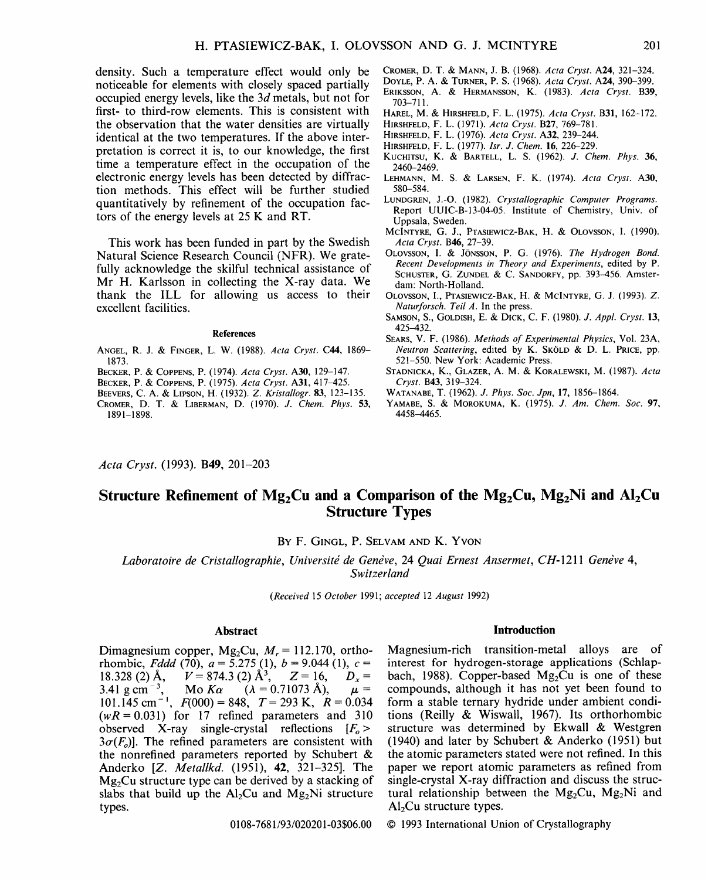density. Such a temperature effect would only be noticeable for elements with closely spaced partially occupied energy levels, like the 3d metals, but not for first- to third-row elements. This is consistent with the observation that the water densities are virtually identical at the two temperatures. If the above interpretation is correct it is, to our knowledge, the first time a temperature effect in the occupation of the electronic energy levels has been detected by diffraction methods. This effect will be further studied quantitatively by refinement of the occupation factors of the energy levels at 25 K and RT.

This work has been funded in part by the Swedish Natural Science Research Council (NFR). We gratefully acknowledge the skilful technical assistance of Mr H. Karlsson in collecting the X-ray data. We thank the ILL for allowing us access to their excellent facilities.

#### **References**

- ANGEL, R. J. & FINGER, L. W. (1988). *Acta Cryst.* C44, 1869- 1873.
- BECKER, P. & COPPENS, P. (1974). *Acta Cryst.* A30, 129-147.
- BECKER, P. & COPPENS, P. (1975). *Acta Cryst.* A31, 417-425.
- BEEVERS, C. A. & LIPSON, H. (1932). *Z. Kristallogr.* 83, 123-135.
- CROMER, D. T. & LIBERMAN, D. (1970). *J. Chem. Phys.* 53, 1891-1898.
- CROMER, D. T. & MANN, J. B. (1968). *Acta Cryst.* A24, 321-324.
- DOYLE, P. A. & TURNER, P. S. (1968). *Acta Cryst.* A24, 390-399. ERIKSSON, A. & HERMANSSON, K. (1983). *Acta Cryst.* B39, 703-711.
- HAREL, M. & HIRSHFELD, F. L. (1975). *Acta Cryst.* B31, 162-172.
- HIRSHFELD, F. L. (1971). *Acta Cryst.* B27, 769-781.
- HIRSHFELD, F. L. (1976). *Acta Cryst.* A32, 239-244.
- HIRSHFELD, F. L. (1977). *lsr. J. Chem.* 16, 226-229.
- KUCHITSU, K. & BARTELL, L. S. (1962). *J. Chem. Phys.* 36, 2460-2469.
- LEHMANN, M. S. & LARSEN, F. K. (1974). *Acta Cryst.* A30, 580-584.
- LUNDGREN, J.-O. (1982). *Crystallographic Computer Programs.* Report UUIC-B-13-04-05. Institute of Chemistry, Univ. of Uppsala, Sweden.
- MCINTYRE, G. J., PTAS1EWICZ-BAK, H. & OLOVSSON, I. (1990). *Acta Cryst.* B46, 27-39.
- OLOVSSON, I. & JONSSON, P. G. (1976). *The Hydrogen Bond. Recent Developments in Theory and Experiments,* edited by P. SCHUSTER, G. ZUNDEL & C. SANDORFY, pp. 393-456. Amsterdam: North-Holland.
- OLOVSSON, I., PTASIEWICZ-BAK, H. & MCINTYRE, G. J. (1993). Z. *Naturforsch. Teil A.* In the press.
- SAMSON, S., GOLDISH, E. & DICK, C. F. (1980). *J. Appl. Cryst.* 13, 425-432.
- SEARS, V. F. (1986). *Methods of Experimental Physics,* Vol. 23A, *Neutron Scattering, edited by K. SköLD & D. L. PRICE, pp.* 521-550. New York: Academic Press.
- STADNICKA, K., GLAZER, A. M. & KORALEWSKI, M. (1987). *Acta Cryst.* B43, 319-324.
- WATANABE, T. (1962). *J. Phys. Soc. Jpn,* 17, 1856-1864.
- YAMABE, S. & MOROKUMA, K. (1975). *J. Am. Chem. Soc.* 97, 4458-4465.

*Acta Cryst.* (1993). B49, 201-203

### **Structure Refinement of Mg<sub>2</sub>Cu and a Comparison of the Mg<sub>2</sub>Cu, Mg<sub>2</sub>Ni and Al<sub>2</sub>Cu Structure Types**

BY F. GINGL, P. SELVAM AND K. YVON

*Laboratoire de Cristallographie, Universitd de Gendve,* 24 *Quai Ernest Ansermet, CH-1211 Gendve 4, Switzerland* 

*(Received 15 October* 1991; *accepted 12 August* 1992)

#### **Abstract**

Dimagnesium copper,  $Mg_2Cu$ ,  $M_r = 112.170$ , orthorhombic, *Fddd* (70),  $a = 5.275$  (1),  $b = 9.044$  (1),  $c =$ 18.328 (2) Å,  $V = 874.3$  (2) Å<sup>3</sup>,  $Z = 16$ ,  $D_x = 3.41$  g cm<sup>-3</sup>, Mo Ka  $(\lambda = 0.71073$  Å),  $\mu =$ 3.41 g cm<sup>-3</sup>, Mo  $K\alpha$  ( $\lambda = 0.71073$  A),  $\mu =$  $101.145$  cm<sup>-1</sup>,  $F(000) = 848$ ,  $T = 293$  K,  $R = 0.034$  $(wR = 0.031)$  for 17 refined parameters and 310 observed X-ray single-crystal reflections  $[F_0 >$  $3\sigma(F_0)$ . The refined parameters are consistent with the nonrefined parameters reported by Schubert & Anderko [Z. *Metallkd.* (1951), 42, 321-325]. The  $Mg<sub>2</sub>Cu$  structure type can be derived by a stacking of slabs that build up the  $Al<sub>2</sub>Cu$  and  $Mg<sub>2</sub>Ni$  structure types.

#### **Introduction**

Magnesium-rich transition-metal alloys are of interest for hydrogen-storage applications (Schlapbach, 1988). Copper-based  $Mg_2Cu$  is one of these compounds, although it has not yet been found to form a stable ternary hydride under ambient conditions (Reilly & Wiswall, 1967). Its orthorhombic structure was determined by Ekwall & Westgren (1940) and later by Schubert & Anderko (1951) but the atomic parameters stated were not refined. In this paper we report atomic parameters as refined from single-crystal X-ray diffraction and discuss the structural relationship between the  $Mg_2Cu$ ,  $Mg_2Ni$  and  $Al<sub>2</sub>Cu$  structure types.

0108-7681/93/020201-03506.00

#### © 1993 International Union of Crystallography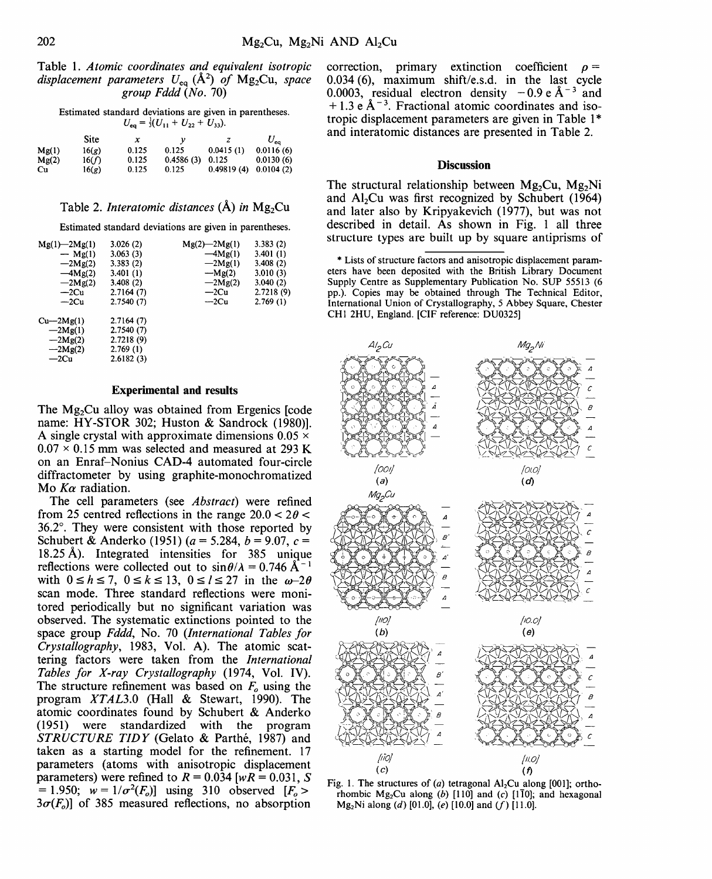Table 1. *Atomic coordinates and equivalent isotropic displacement parameters*  $U_{eq}$  ( $\AA$ <sup>2</sup>) *of* Mg<sub>2</sub>Cu, *space group Fddd (No.* 70)

|  |                                                   |  | Estimated standard deviations are given in parentheses. |
|--|---------------------------------------------------|--|---------------------------------------------------------|
|  | $U_{xx} = \frac{1}{3}(U_{11} + U_{22} + U_{33}).$ |  |                                                         |

| - 69<br>- - - - - - -<br>- 22<br>- 332 |       |       |           |            |              |  |  |  |
|----------------------------------------|-------|-------|-----------|------------|--------------|--|--|--|
|                                        | Site  | x     |           | z          | $U_{\rm ea}$ |  |  |  |
| Mg(1)                                  | 16(g) | 0.125 | 0.125     | 0.0415(1)  | 0.0116(6)    |  |  |  |
| Mg(2)                                  | 16(f) | 0.125 | 0.4586(3) | 0.125      | 0.0130(6)    |  |  |  |
| Cu                                     | 16(g) | 0.125 | 0.125     | 0.49819(4) | 0.0104(2)    |  |  |  |

#### Table 2. *Interatomic distances*  $(A)$  *in*  $Mg_2Cu$

Estimated standard deviations are given in parentheses.

| $Mg(1) - 2Mg(1)$ | 3.026(2)  | $Mg(2) - 2Mg(1)$ | 3.383(2)  |
|------------------|-----------|------------------|-----------|
| $-$ Mg(1)        | 3.063(3)  | $-Mg(1)$         | 3.401(1)  |
| $-2Mg(2)$        | 3.383(2)  | $-2Mg(1)$        | 3.408(2)  |
| $-Mg(2)$         | 3.401(1)  | $-Mg(2)$         | 3.010(3)  |
| $-2Mg(2)$        | 3.408(2)  | $-2Mg(2)$        | 3.040(2)  |
| $-2Cu$           | 2.7164(7) | $-2Cu$           | 2.7218(9) |
| —2Cu             | 2.7540(7) | $-2Cu$           | 2.769(1)  |
| Cu—2Mg(1)        | 2.7164(7) |                  |           |
| $-2Mg(1)$        | 2.7540(7) |                  |           |
| $-2Mg(2)$        | 2.7218(9) |                  |           |
| $-2Mg(2)$        | 2.769(1)  |                  |           |
| $-2Cu$           | 2.6182(3) |                  |           |
|                  |           |                  |           |

#### **Experimental and results**

The Mg<sub>2</sub>Cu alloy was obtained from Ergenics [code] name: HY-STOR 302; Huston & Sandrock (1980)]. A single crystal with approximate dimensions  $0.05 \times$  $0.07 \times 0.15$  mm was selected and measured at 293 K on an Enraf-Nonius CAD-4 automated four-circle diffractometer by using graphite-monochromatized Mo *Ka* radiation.

The cell parameters (see *Abstract)* were refined from 25 centred reflections in the range  $20.0 < 2\theta <$  $36.2^\circ$ . They were consistent with those reported by Schubert & Anderko (1951) ( $a = 5.284, b = 9.07, c =$ 18.25~). Integrated intensities for 385 unique reflections were collected out to  $\sin \theta / \lambda = 0.746 \text{ Å}^{-1}$ with  $0 \le h \le 7$ ,  $0 \le k \le 13$ ,  $0 \le l \le 27$  in the  $\omega-2\theta$ scan mode. Three standard reflections were monitored periodically but no significant variation was observed. The systematic extinctions pointed to the space group *Fddd,* No. 70 *(International Tables for Crystallography,* 1983, Vol. A). The atomic scattering factors were taken from the *International Tables for X-ray Crystallography* (1974, Vol. IV). The structure refinement was based on  $F<sub>o</sub>$  using the program *XTAL3.0* (Hall & Stewart, 1990). The atomic coordinates found by Schubert & Anderko (1951) were standardized with the program *STRUCTURE TIDY* (Gelato & Parthé, 1987) and taken as a starting model for the refinement. 17 parameters (atoms with anisotropic displacement parameters) were refined to  $R = 0.034$  [ $wR = 0.031$ , S  $= 1.950$ ;  $w = 1/\sigma^2(F_o)$ ] using 310 observed  $[F_o > 0]$  $3\sigma(F_o)$ ] of 385 measured reflections, no absorption

correction, primary extinction coefficient  $\rho =$ 0.034(6), maximum shift/e.s.d, in the last cycle 0.0003, residual electron density  $-0.9 e<sup>A-3</sup>$  and  $+ 1.3 e \text{ Å}^{-3}$ . Fractional atomic coordinates and isotropic displacement parameters are given in Table 1<sup>\*</sup> and interatomic distances are presented in Table 2.

#### **Discussion**

The structural relationship between  $Mg_2Cu$ ,  $Mg_2Ni$ and  $Al_2Cu$  was first recognized by Schubert (1964) and later also by Kripyakevich (1977), but was not described in detail. As shown in Fig. 1 all three structure types are built up by square antiprisms of

\* Lists of structure factors and anisotropic displacement parameters have been deposited with the British Library Document Supply Centre as Supplementary Publication No. SUP 55513 (6 pp.). Copies may be obtained through The Technical Editor, International Union of Crystallography, 5 Abbey Square, Chester CH1 2HU, England. [CIF reference: DU0325]



Fig. 1. The structures of (a) tetragonal Al<sub>2</sub>Cu along [001]; orthorhombic Mg<sub>2</sub>Cu along (b) [110] and (c) [110]; and hexagonal  $Mg_2Ni$  along (d) [01.0], (e) [10.0] and (f) [11.0].